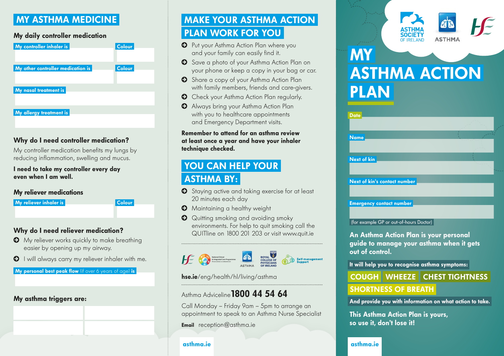### MY ASTHMA MEDICINE

#### My daily controller medication

| My controller inhaler is          | <b>Colour</b> |
|-----------------------------------|---------------|
| My other controller medication is | <b>Colour</b> |
| My nasal treatment is             |               |
| My allergy treatment is           |               |

#### Why do I need controller medication?

My controller medication benefits my lungs by reducing inflammation, swelling and mucus.

I need to take my controller every day even when I am well.

#### My reliever medications

My reliever inhaler is **Colour** 

#### Why do I need reliever medication?

- © My reliever works quickly to make breathing easier by opening up my airway.
- © I will always carry my reliever inhaler with me.

My personal best peak flow (if over 6 years of age) is

#### My asthma triggers are:

### MAKE YOUR ASTHMA ACTION PLAN WORK FOR YOU

- © Put your Asthma Action Plan where you and your family can easily find it.
- © Save a photo of your Asthma Action Plan on your phone or keep a copy in your bag or car.
- © Share a copy of your Asthma Action Plan with family members, friends and care-givers.
- © Check your Asthma Action Plan regularly.
- © Always bring your Asthma Action Plan with you to healthcare appointments and Emergency Department visits.

#### Remember to attend for an asthma review at least once a year and have your inhaler technique checked.

### YOU CAN HELP YOUR ASTHMA BY:

- © Staying active and taking exercise for at least 20 minutes each day
- © Maintaining a healthy weight
- © Quitting smoking and avoiding smoky environments. For help to quit smoking call the QUITline on 1800 201 203 or visit www.quit.ie



### Asthma Adviceline 1800 44 54 64

Call Monday – Friday 9am – 5pm to arrange an appointment to speak to an Asthma Nurse Specialist

**Email** reception@asthma.ie

#### asthma.ie



# ASTHMA ACTION PLAN **MY**

| <b>Date</b>                     |  |
|---------------------------------|--|
|                                 |  |
| <b>Name</b>                     |  |
|                                 |  |
| Next of kin                     |  |
|                                 |  |
| Next of kin's contact number    |  |
|                                 |  |
| <b>Emergency contact number</b> |  |
|                                 |  |

(for example GP or out-of-hours Doctor)

An Asthma Action Plan is your personal guide to manage your asthma when it gets out of control.

It will help you to recognise asthma symptoms:

### hse.ie/eng/health/hl/living/asthma Wheeler COUGH | WHEEZE | CHEST TIGHTNESS

### SHORTNESS OF BREATH

And provide you with information on what action to take.

This Asthma Action Plan is yours, so use it, don't lose it!

#### asthma.ie